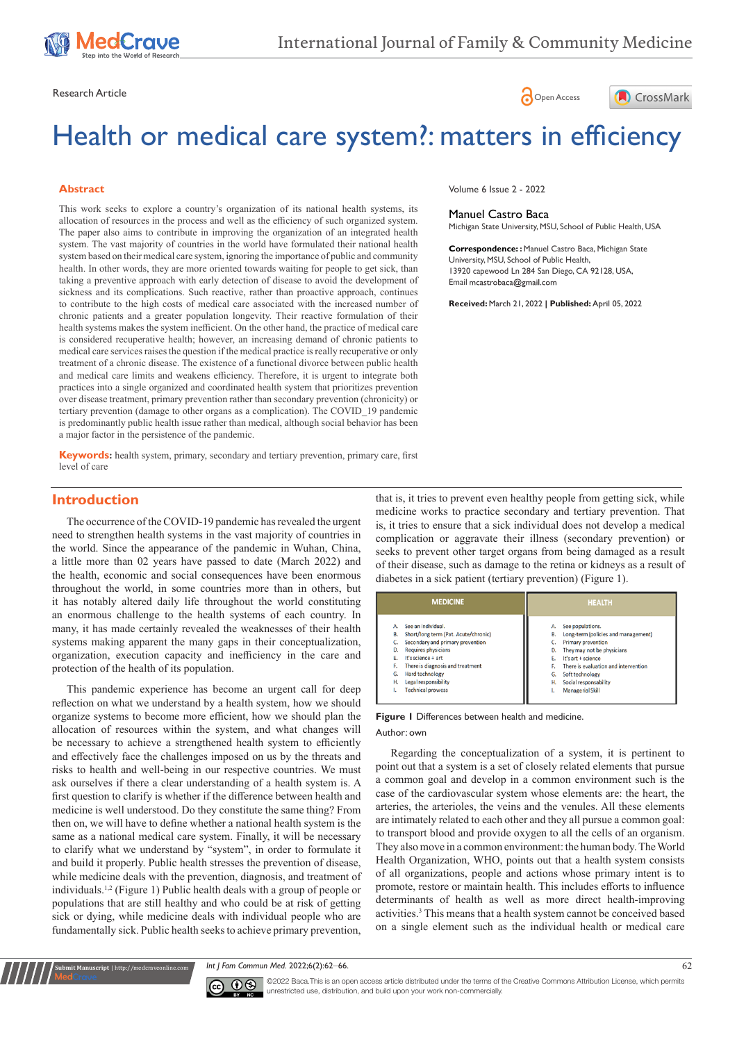





# Health or medical care system?: matters in efficiency

#### **Abstract**

This work seeks to explore a country's organization of its national health systems, its allocation of resources in the process and well as the efficiency of such organized system. The paper also aims to contribute in improving the organization of an integrated health system. The vast majority of countries in the world have formulated their national health system based on their medical care system, ignoring the importance of public and community health. In other words, they are more oriented towards waiting for people to get sick, than taking a preventive approach with early detection of disease to avoid the development of sickness and its complications. Such reactive, rather than proactive approach, continues to contribute to the high costs of medical care associated with the increased number of chronic patients and a greater population longevity. Their reactive formulation of their health systems makes the system inefficient. On the other hand, the practice of medical care is considered recuperative health; however, an increasing demand of chronic patients to medical care services raises the question if the medical practice is really recuperative or only treatment of a chronic disease. The existence of a functional divorce between public health and medical care limits and weakens efficiency. Therefore, it is urgent to integrate both practices into a single organized and coordinated health system that prioritizes prevention over disease treatment, primary prevention rather than secondary prevention (chronicity) or tertiary prevention (damage to other organs as a complication). The COVID\_19 pandemic is predominantly public health issue rather than medical, although social behavior has been a major factor in the persistence of the pandemic.

**Keywords:** health system, primary, secondary and tertiary prevention, primary care, first level of care

#### Volume 6 Issue 2 - 2022

#### Manuel Castro Baca Michigan State University, MSU, School of Public Health, USA

**Correspondence: :** Manuel Castro Baca, Michigan State University, MSU, School of Public Health, 13920 capewood Ln 284 San Diego, CA 92128, USA, Email meastrobaca@gmail.com

**Received:** March 21, 2022 **| Published:** April 05, 2022

## **Introduction**

The occurrence of the COVID-19 pandemic has revealed the urgent need to strengthen health systems in the vast majority of countries in the world. Since the appearance of the pandemic in Wuhan, China, a little more than 02 years have passed to date (March 2022) and the health, economic and social consequences have been enormous throughout the world, in some countries more than in others, but it has notably altered daily life throughout the world constituting an enormous challenge to the health systems of each country. In many, it has made certainly revealed the weaknesses of their health systems making apparent the many gaps in their conceptualization, organization, execution capacity and inefficiency in the care and protection of the health of its population.

This pandemic experience has become an urgent call for deep reflection on what we understand by a health system, how we should organize systems to become more efficient, how we should plan the allocation of resources within the system, and what changes will be necessary to achieve a strengthened health system to efficiently and effectively face the challenges imposed on us by the threats and risks to health and well-being in our respective countries. We must ask ourselves if there a clear understanding of a health system is. A first question to clarify is whether if the difference between health and medicine is well understood. Do they constitute the same thing? From then on, we will have to define whether a national health system is the same as a national medical care system. Finally, it will be necessary to clarify what we understand by "system", in order to formulate it and build it properly. Public health stresses the prevention of disease, while medicine deals with the prevention, diagnosis, and treatment of individuals.1,2 (Figure 1) Public health deals with a group of people or populations that are still healthy and who could be at risk of getting sick or dying, while medicine deals with individual people who are fundamentally sick. Public health seeks to achieve primary prevention,

that is, it tries to prevent even healthy people from getting sick, while medicine works to practice secondary and tertiary prevention. That is, it tries to ensure that a sick individual does not develop a medical complication or aggravate their illness (secondary prevention) or seeks to prevent other target organs from being damaged as a result of their disease, such as damage to the retina or kidneys as a result of diabetes in a sick patient (tertiary prevention) (Figure 1).

| <b>MEDICINE</b>                                                                                                                                                                                                                                                                                    | <b>HEALTH</b>                                                                                                                                                                                                                                                                                                 |
|----------------------------------------------------------------------------------------------------------------------------------------------------------------------------------------------------------------------------------------------------------------------------------------------------|---------------------------------------------------------------------------------------------------------------------------------------------------------------------------------------------------------------------------------------------------------------------------------------------------------------|
| See an individual.<br>Short/long term (Pat. Acute/chronic)<br>В.<br>Secondary and primary prevention<br><b>Requires physicians</b><br>D.<br>It's science + art<br>There is diagnosis and treatment<br>F.<br><b>Hard technology</b><br>G.<br>Legal responsibility<br>н.<br><b>Technical prowess</b> | See populations.<br>А.<br>Long-term (policies and management)<br>В.<br><b>Primary prevention</b><br>c.<br>They may not be physicians<br>D.<br>It's art + science<br>E.<br>There is evaluation and intervention<br>F.<br>Soft technology<br>G.<br>Social responsability<br>н.<br><b>Managerial Skill</b><br>١. |

**Figure 1** Differences between health and medicine. Author: own

Regarding the conceptualization of a system, it is pertinent to point out that a system is a set of closely related elements that pursue a common goal and develop in a common environment such is the case of the cardiovascular system whose elements are: the heart, the arteries, the arterioles, the veins and the venules. All these elements are intimately related to each other and they all pursue a common goal: to transport blood and provide oxygen to all the cells of an organism. They also move in a common environment: the human body. The World Health Organization, WHO, points out that a health system consists of all organizations, people and actions whose primary intent is to promote, restore or maintain health. This includes efforts to influence determinants of health as well as more direct health-improving activities.3 This means that a health system cannot be conceived based on a single element such as the individual health or medical care

*Int J Fam Commun Med.* 2022;6(2):62‒66. 62



**Submit Manuscript** | http://medcraveonline.com

©2022 Baca.This is an open access article distributed under the terms of the Creative Commons Attribution License, which permits unrestricted use, distribution, and build upon your work non-commercially.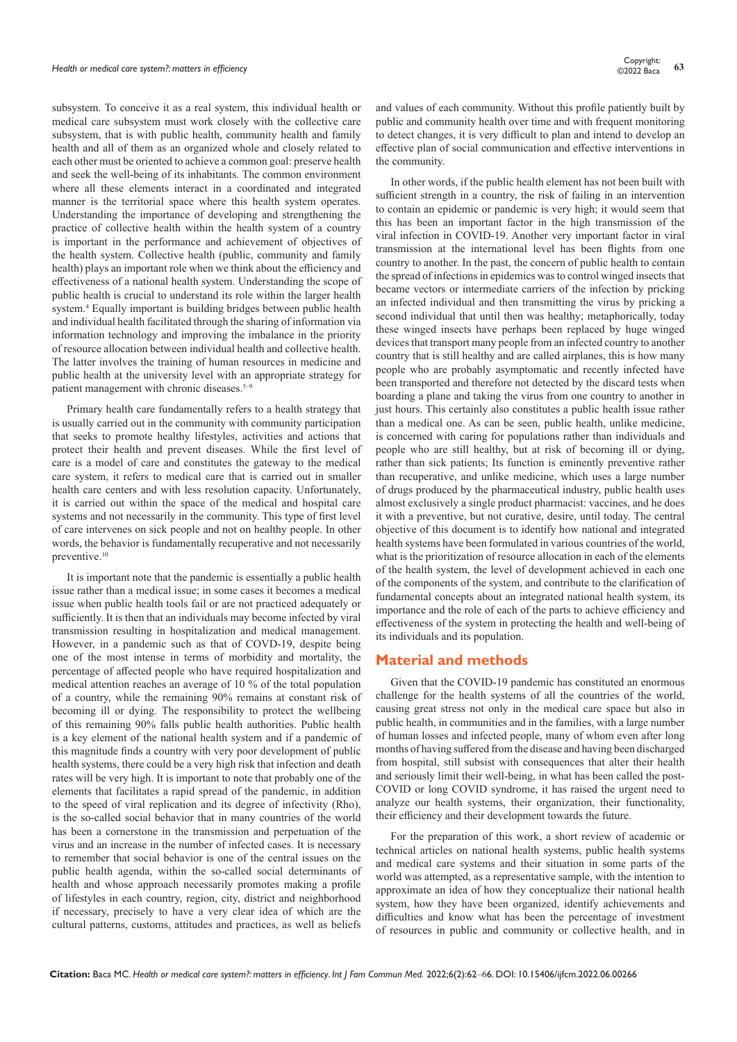subsystem. To conceive it as a real system, this individual health or medical care subsystem must work closely with the collective care subsystem, that is with public health, community health and family health and all of them as an organized whole and closely related to each other must be oriented to achieve a common goal: preserve health and seek the well-being of its inhabitants. The common environment where all these elements interact in a coordinated and integrated manner is the territorial space where this health system operates. Understanding the importance of developing and strengthening the practice of collective health within the health system of a country is important in the performance and achievement of objectives of the health system. Collective health (public, community and family health) plays an important role when we think about the efficiency and effectiveness of a national health system. Understanding the scope of public health is crucial to understand its role within the larger health system.4 Equally important is building bridges between public health and individual health facilitated through the sharing of information via information technology and improving the imbalance in the priority of resource allocation between individual health and collective health. The latter involves the training of human resources in medicine and public health at the university level with an appropriate strategy for patient management with chronic diseases.<sup>5-9</sup>

Primary health care fundamentally refers to a health strategy that is usually carried out in the community with community participation that seeks to promote healthy lifestyles, activities and actions that protect their health and prevent diseases. While the first level of care is a model of care and constitutes the gateway to the medical care system, it refers to medical care that is carried out in smaller health care centers and with less resolution capacity. Unfortunately, it is carried out within the space of the medical and hospital care systems and not necessarily in the community. This type of first level of care intervenes on sick people and not on healthy people. In other words, the behavior is fundamentally recuperative and not necessarily preventive.<sup>10</sup>

It is important note that the pandemic is essentially a public health issue rather than a medical issue; in some cases it becomes a medical issue when public health tools fail or are not practiced adequately or sufficiently. It is then that an individuals may become infected by viral transmission resulting in hospitalization and medical management. However, in a pandemic such as that of COVD-19, despite being one of the most intense in terms of morbidity and mortality, the percentage of affected people who have required hospitalization and medical attention reaches an average of 10 % of the total population of a country, while the remaining 90% remains at constant risk of becoming ill or dying. The responsibility to protect the wellbeing of this remaining 90% falls public health authorities. Public health is a key element of the national health system and if a pandemic of this magnitude finds a country with very poor development of public health systems, there could be a very high risk that infection and death rates will be very high. It is important to note that probably one of the elements that facilitates a rapid spread of the pandemic, in addition to the speed of viral replication and its degree of infectivity (Rho), is the so-called social behavior that in many countries of the world has been a cornerstone in the transmission and perpetuation of the virus and an increase in the number of infected cases. It is necessary to remember that social behavior is one of the central issues on the public health agenda, within the so-called social determinants of health and whose approach necessarily promotes making a profile of lifestyles in each country, region, city, district and neighborhood if necessary, precisely to have a very clear idea of which are the cultural patterns, customs, attitudes and practices, as well as beliefs

and values of each community. Without this profile patiently built by public and community health over time and with frequent monitoring to detect changes, it is very difficult to plan and intend to develop an effective plan of social communication and effective interventions in the community.

In other words, if the public health element has not been built with sufficient strength in a country, the risk of failing in an intervention to contain an epidemic or pandemic is very high; it would seem that this has been an important factor in the high transmission of the viral infection in COVID-19. Another very important factor in viral transmission at the international level has been flights from one country to another. In the past, the concern of public health to contain the spread of infections in epidemics was to control winged insects that became vectors or intermediate carriers of the infection by pricking an infected individual and then transmitting the virus by pricking a second individual that until then was healthy; metaphorically, today these winged insects have perhaps been replaced by huge winged devices that transport many people from an infected country to another country that is still healthy and are called airplanes, this is how many people who are probably asymptomatic and recently infected have been transported and therefore not detected by the discard tests when boarding a plane and taking the virus from one country to another in just hours. This certainly also constitutes a public health issue rather than a medical one. As can be seen, public health, unlike medicine, is concerned with caring for populations rather than individuals and people who are still healthy, but at risk of becoming ill or dying, rather than sick patients; Its function is eminently preventive rather than recuperative, and unlike medicine, which uses a large number of drugs produced by the pharmaceutical industry, public health uses almost exclusively a single product pharmacist: vaccines, and he does it with a preventive, but not curative, desire, until today. The central objective of this document is to identify how national and integrated health systems have been formulated in various countries of the world, what is the prioritization of resource allocation in each of the elements of the health system, the level of development achieved in each one of the components of the system, and contribute to the clarification of fundamental concepts about an integrated national health system, its importance and the role of each of the parts to achieve efficiency and effectiveness of the system in protecting the health and well-being of its individuals and its population.

## **Material and methods**

Given that the COVID-19 pandemic has constituted an enormous challenge for the health systems of all the countries of the world, causing great stress not only in the medical care space but also in public health, in communities and in the families, with a large number of human losses and infected people, many of whom even after long months of having suffered from the disease and having been discharged from hospital, still subsist with consequences that alter their health and seriously limit their well-being, in what has been called the post-COVID or long COVID syndrome, it has raised the urgent need to analyze our health systems, their organization, their functionality, their efficiency and their development towards the future.

For the preparation of this work, a short review of academic or technical articles on national health systems, public health systems and medical care systems and their situation in some parts of the world was attempted, as a representative sample, with the intention to approximate an idea of how they conceptualize their national health system, how they have been organized, identify achievements and difficulties and know what has been the percentage of investment of resources in public and community or collective health, and in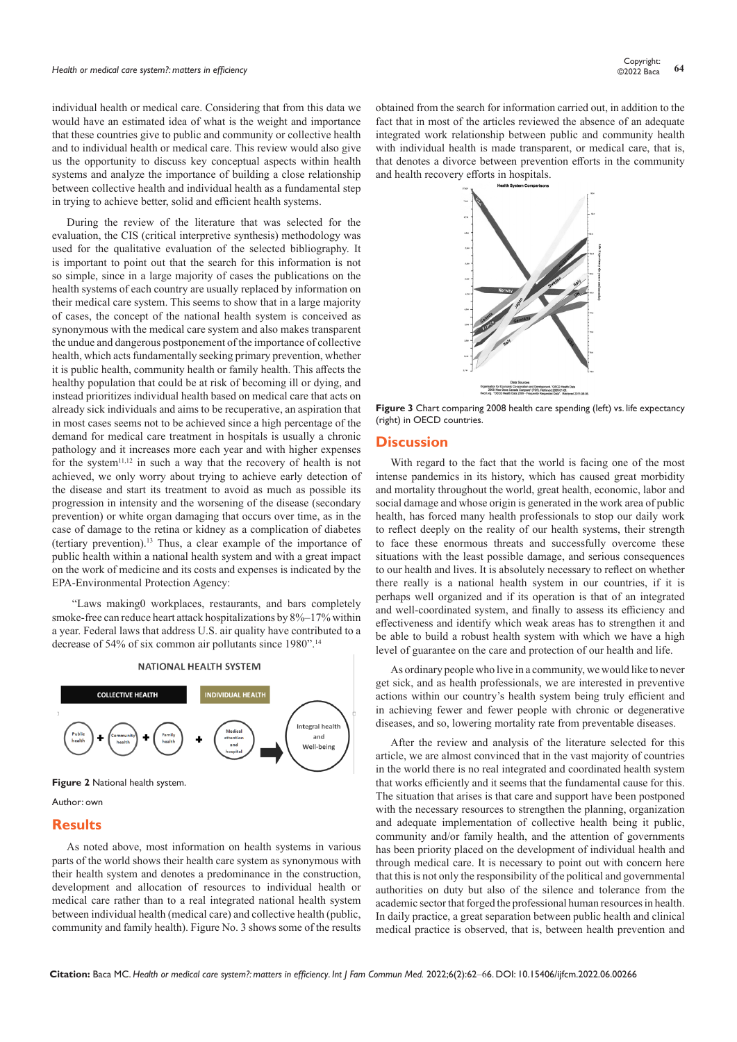individual health or medical care. Considering that from this data we would have an estimated idea of what is the weight and importance that these countries give to public and community or collective health and to individual health or medical care. This review would also give us the opportunity to discuss key conceptual aspects within health systems and analyze the importance of building a close relationship between collective health and individual health as a fundamental step in trying to achieve better, solid and efficient health systems.

During the review of the literature that was selected for the evaluation, the CIS (critical interpretive synthesis) methodology was used for the qualitative evaluation of the selected bibliography. It is important to point out that the search for this information is not so simple, since in a large majority of cases the publications on the health systems of each country are usually replaced by information on their medical care system. This seems to show that in a large majority of cases, the concept of the national health system is conceived as synonymous with the medical care system and also makes transparent the undue and dangerous postponement of the importance of collective health, which acts fundamentally seeking primary prevention, whether it is public health, community health or family health. This affects the healthy population that could be at risk of becoming ill or dying, and instead prioritizes individual health based on medical care that acts on already sick individuals and aims to be recuperative, an aspiration that in most cases seems not to be achieved since a high percentage of the demand for medical care treatment in hospitals is usually a chronic pathology and it increases more each year and with higher expenses for the system $11,12$  in such a way that the recovery of health is not achieved, we only worry about trying to achieve early detection of the disease and start its treatment to avoid as much as possible its progression in intensity and the worsening of the disease (secondary prevention) or white organ damaging that occurs over time, as in the case of damage to the retina or kidney as a complication of diabetes (tertiary prevention).13 Thus, a clear example of the importance of public health within a national health system and with a great impact on the work of medicine and its costs and expenses is indicated by the EPA-Environmental Protection Agency:

 "Laws making0 workplaces, restaurants, and bars completely smoke-free can reduce heart attack hospitalizations by 8%–17% within a year. Federal laws that address U.S. air quality have contributed to a decrease of 54% of six common air pollutants since 1980".14



**Figure 2** National health system.

Author: own

#### **Results**

As noted above, most information on health systems in various parts of the world shows their health care system as synonymous with their health system and denotes a predominance in the construction, development and allocation of resources to individual health or medical care rather than to a real integrated national health system between individual health (medical care) and collective health (public, community and family health). Figure No. 3 shows some of the results



**Figure 3** Chart comparing 2008 health care spending (left) vs. life expectancy (right) in OECD countries.

## **Discussion**

With regard to the fact that the world is facing one of the most intense pandemics in its history, which has caused great morbidity and mortality throughout the world, great health, economic, labor and social damage and whose origin is generated in the work area of public health, has forced many health professionals to stop our daily work to reflect deeply on the reality of our health systems, their strength to face these enormous threats and successfully overcome these situations with the least possible damage, and serious consequences to our health and lives. It is absolutely necessary to reflect on whether there really is a national health system in our countries, if it is perhaps well organized and if its operation is that of an integrated and well-coordinated system, and finally to assess its efficiency and effectiveness and identify which weak areas has to strengthen it and be able to build a robust health system with which we have a high level of guarantee on the care and protection of our health and life.

As ordinary people who live in a community, we would like to never get sick, and as health professionals, we are interested in preventive actions within our country's health system being truly efficient and in achieving fewer and fewer people with chronic or degenerative diseases, and so, lowering mortality rate from preventable diseases.

After the review and analysis of the literature selected for this article, we are almost convinced that in the vast majority of countries in the world there is no real integrated and coordinated health system that works efficiently and it seems that the fundamental cause for this. The situation that arises is that care and support have been postponed with the necessary resources to strengthen the planning, organization and adequate implementation of collective health being it public, community and/or family health, and the attention of governments has been priority placed on the development of individual health and through medical care. It is necessary to point out with concern here that this is not only the responsibility of the political and governmental authorities on duty but also of the silence and tolerance from the academic sector that forged the professional human resources in health. In daily practice, a great separation between public health and clinical medical practice is observed, that is, between health prevention and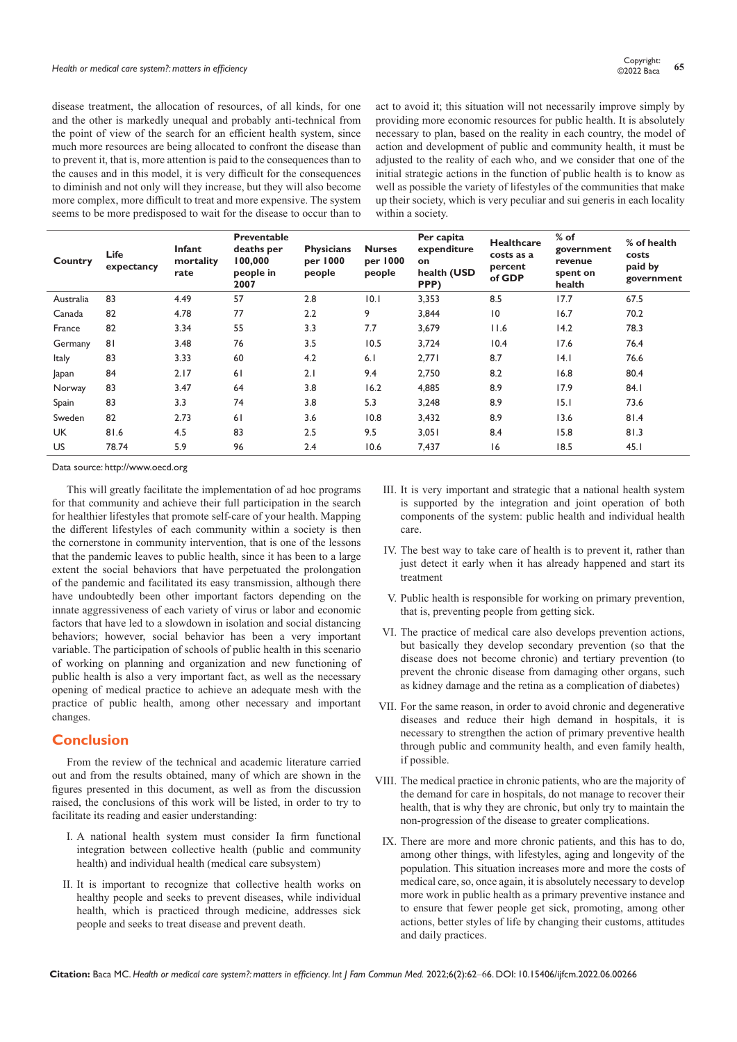disease treatment, the allocation of resources, of all kinds, for one and the other is markedly unequal and probably anti-technical from the point of view of the search for an efficient health system, since much more resources are being allocated to confront the disease than to prevent it, that is, more attention is paid to the consequences than to the causes and in this model, it is very difficult for the consequences to diminish and not only will they increase, but they will also become more complex, more difficult to treat and more expensive. The system seems to be more predisposed to wait for the disease to occur than to act to avoid it; this situation will not necessarily improve simply by providing more economic resources for public health. It is absolutely necessary to plan, based on the reality in each country, the model of action and development of public and community health, it must be adjusted to the reality of each who, and we consider that one of the initial strategic actions in the function of public health is to know as well as possible the variety of lifestyles of the communities that make up their society, which is very peculiar and sui generis in each locality within a society.

| Country      | Life<br>expectancy | Infant<br>mortality<br>rate | <b>Preventable</b><br>deaths per<br>100,000<br>people in<br>2007 | <b>Physicians</b><br>per 1000<br>people | <b>Nurses</b><br>per 1000<br>people | Per capita<br>expenditure<br>on<br>health (USD<br>PPP) | <b>Healthcare</b><br>costs as a<br>percent<br>of GDP | $%$ of<br>government<br>revenue<br>spent on<br>health | % of health<br>costs<br>paid by<br>government |
|--------------|--------------------|-----------------------------|------------------------------------------------------------------|-----------------------------------------|-------------------------------------|--------------------------------------------------------|------------------------------------------------------|-------------------------------------------------------|-----------------------------------------------|
| Australia    | 83                 | 4.49                        | 57                                                               | 2.8                                     | 10.1                                | 3,353                                                  | 8.5                                                  | 17.7                                                  | 67.5                                          |
| Canada       | 82                 | 4.78                        | 77                                                               | 2.2                                     | 9                                   | 3,844                                                  | 10                                                   | 16.7                                                  | 70.2                                          |
| France       | 82                 | 3.34                        | 55                                                               | 3.3                                     | 7.7                                 | 3,679                                                  | 11.6                                                 | 14.2                                                  | 78.3                                          |
| Germany      | 81                 | 3.48                        | 76                                                               | 3.5                                     | 10.5                                | 3,724                                                  | 10.4                                                 | 17.6                                                  | 76.4                                          |
| <b>Italy</b> | 83                 | 3.33                        | 60                                                               | 4.2                                     | 6.1                                 | 2,771                                                  | 8.7                                                  | 4.1                                                   | 76.6                                          |
| Japan        | 84                 | 2.17                        | 61                                                               | 2.1                                     | 9.4                                 | 2,750                                                  | 8.2                                                  | 16.8                                                  | 80.4                                          |
| Norway       | 83                 | 3.47                        | 64                                                               | 3.8                                     | 16.2                                | 4,885                                                  | 8.9                                                  | 17.9                                                  | 84.1                                          |
| Spain        | 83                 | 3.3                         | 74                                                               | 3.8                                     | 5.3                                 | 3,248                                                  | 8.9                                                  | 15.1                                                  | 73.6                                          |
| Sweden       | 82                 | 2.73                        | 61                                                               | 3.6                                     | 10.8                                | 3,432                                                  | 8.9                                                  | 13.6                                                  | 81.4                                          |
| <b>UK</b>    | 81.6               | 4.5                         | 83                                                               | 2.5                                     | 9.5                                 | 3,051                                                  | 8.4                                                  | 15.8                                                  | 81.3                                          |
| <b>US</b>    | 78.74              | 5.9                         | 96                                                               | 2.4                                     | 10.6                                | 7,437                                                  | 16                                                   | 18.5                                                  | 45.1                                          |

Data source: http://www.oecd.org

This will greatly facilitate the implementation of ad hoc programs for that community and achieve their full participation in the search for healthier lifestyles that promote self-care of your health. Mapping the different lifestyles of each community within a society is then the cornerstone in community intervention, that is one of the lessons that the pandemic leaves to public health, since it has been to a large extent the social behaviors that have perpetuated the prolongation of the pandemic and facilitated its easy transmission, although there have undoubtedly been other important factors depending on the innate aggressiveness of each variety of virus or labor and economic factors that have led to a slowdown in isolation and social distancing behaviors; however, social behavior has been a very important variable. The participation of schools of public health in this scenario of working on planning and organization and new functioning of public health is also a very important fact, as well as the necessary opening of medical practice to achieve an adequate mesh with the practice of public health, among other necessary and important changes.

## **Conclusion**

From the review of the technical and academic literature carried out and from the results obtained, many of which are shown in the figures presented in this document, as well as from the discussion raised, the conclusions of this work will be listed, in order to try to facilitate its reading and easier understanding:

- I. A national health system must consider Ia firm functional integration between collective health (public and community health) and individual health (medical care subsystem)
- II. It is important to recognize that collective health works on healthy people and seeks to prevent diseases, while individual health, which is practiced through medicine, addresses sick people and seeks to treat disease and prevent death.
- III. It is very important and strategic that a national health system is supported by the integration and joint operation of both components of the system: public health and individual health care.
- IV. The best way to take care of health is to prevent it, rather than just detect it early when it has already happened and start its treatment
- V. Public health is responsible for working on primary prevention, that is, preventing people from getting sick.
- VI. The practice of medical care also develops prevention actions, but basically they develop secondary prevention (so that the disease does not become chronic) and tertiary prevention (to prevent the chronic disease from damaging other organs, such as kidney damage and the retina as a complication of diabetes)
- VII. For the same reason, in order to avoid chronic and degenerative diseases and reduce their high demand in hospitals, it is necessary to strengthen the action of primary preventive health through public and community health, and even family health, if possible.
- VIII. The medical practice in chronic patients, who are the majority of the demand for care in hospitals, do not manage to recover their health, that is why they are chronic, but only try to maintain the non-progression of the disease to greater complications.
- IX. There are more and more chronic patients, and this has to do, among other things, with lifestyles, aging and longevity of the population. This situation increases more and more the costs of medical care, so, once again, it is absolutely necessary to develop more work in public health as a primary preventive instance and to ensure that fewer people get sick, promoting, among other actions, better styles of life by changing their customs, attitudes and daily practices.